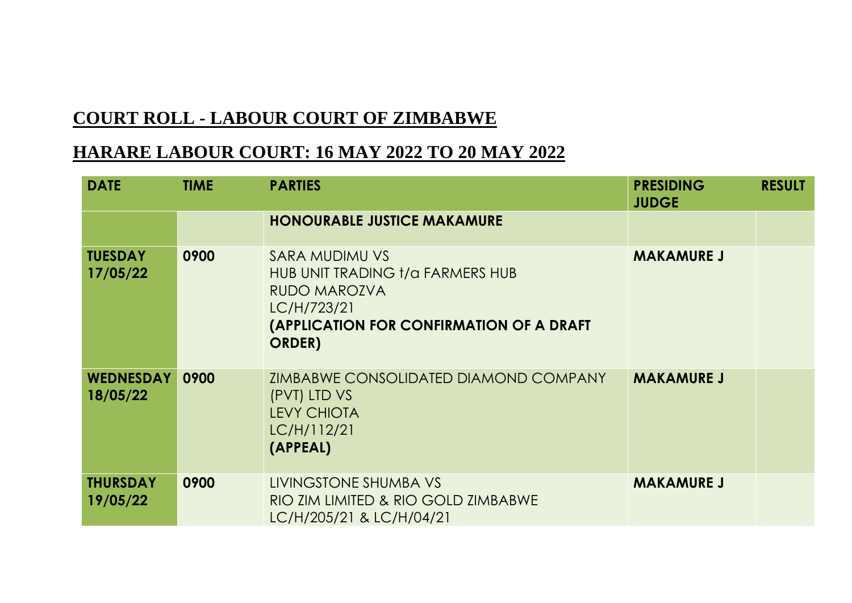## **COURT ROLL - LABOUR COURT OF ZIMBABWE**

## **HARARE LABOUR COURT: 16 MAY 2022 TO 20 MAY 2022**

| <b>DATE</b>                  | <b>TIME</b> | <b>PARTIES</b>                                                                                                                                              | <b>PRESIDING</b><br><b>JUDGE</b> | <b>RESULT</b> |
|------------------------------|-------------|-------------------------------------------------------------------------------------------------------------------------------------------------------------|----------------------------------|---------------|
|                              |             | <b>HONOURABLE JUSTICE MAKAMURE</b>                                                                                                                          |                                  |               |
| <b>TUESDAY</b><br>17/05/22   | 0900        | SARA MUDIMU VS<br>HUB UNIT TRADING t/a FARMERS HUB<br><b>RUDO MAROZVA</b><br>LC/H/723/21<br><b>(APPLICATION FOR CONFIRMATION OF A DRAFT</b><br><b>ORDER</b> | <b>MAKAMURE J</b>                |               |
| <b>WEDNESDAY</b><br>18/05/22 | 0900        | <b>ZIMBABWE CONSOLIDATED DIAMOND COMPANY</b><br>(PVT) LTD VS<br><b>LEVY CHIOTA</b><br>LC/H/112/21<br>(APPEAL)                                               | <b>MAKAMURE J</b>                |               |
| <b>THURSDAY</b><br>19/05/22  | 0900        | LIVINGSTONE SHUMBA VS<br>RIO ZIM LIMITED & RIO GOLD ZIMBABWE<br>LC/H/205/21 & LC/H/04/21                                                                    | <b>MAKAMURE J</b>                |               |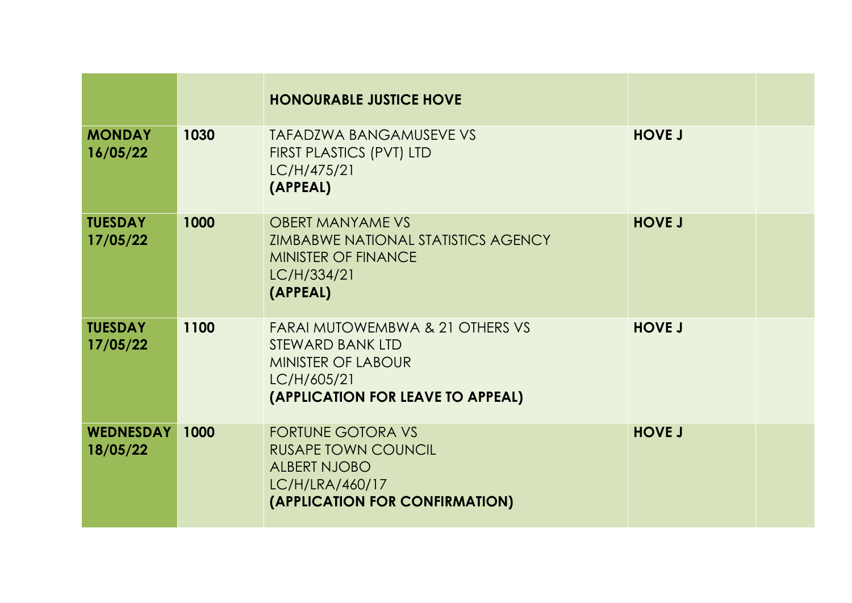|                              |      | <b>HONOURABLE JUSTICE HOVE</b>                                                                                                       |               |  |
|------------------------------|------|--------------------------------------------------------------------------------------------------------------------------------------|---------------|--|
| <b>MONDAY</b><br>16/05/22    | 1030 | <b>TAFADZWA BANGAMUSEVE VS</b><br><b>FIRST PLASTICS (PVT) LTD</b><br>LC/H/475/21<br>(APPEAL)                                         | <b>HOVE J</b> |  |
| <b>TUESDAY</b><br>17/05/22   | 1000 | <b>OBERT MANYAME VS</b><br><b>ZIMBABWE NATIONAL STATISTICS AGENCY</b><br><b>MINISTER OF FINANCE</b><br>LC/H/334/21<br>(APPEAL)       | <b>HOVE J</b> |  |
| <b>TUESDAY</b><br>17/05/22   | 1100 | FARAI MUTOWEMBWA & 21 OTHERS VS<br>STEWARD BANK LTD<br><b>MINISTER OF LABOUR</b><br>LC/H/605/21<br>(APPLICATION FOR LEAVE TO APPEAL) | <b>HOVE J</b> |  |
| <b>WEDNESDAY</b><br>18/05/22 | 1000 | <b>FORTUNE GOTORA VS</b><br><b>RUSAPE TOWN COUNCIL</b><br><b>ALBERT NJOBO</b><br>LC/H/LRA/460/17<br>(APPLICATION FOR CONFIRMATION)   | <b>HOVE J</b> |  |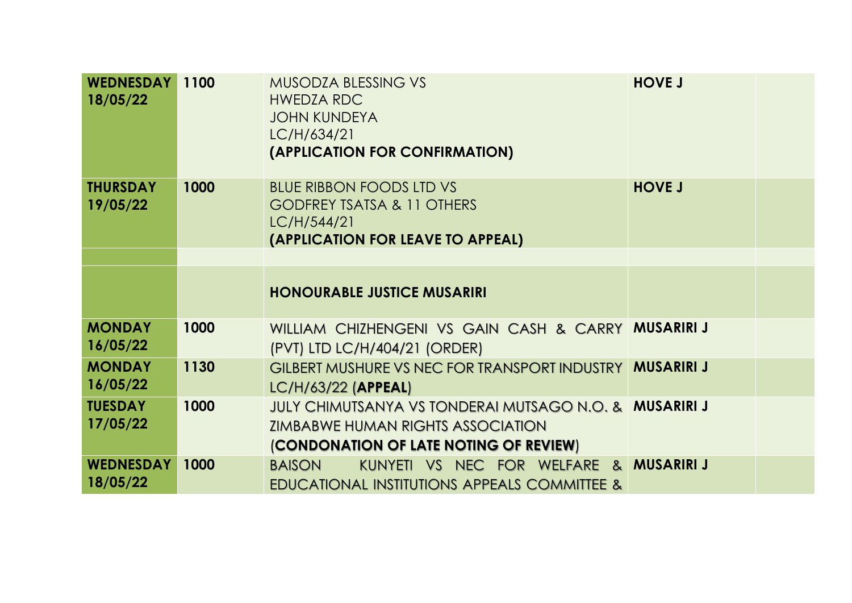| <b>WEDNESDAY</b><br>18/05/22 | 1100 | <b>MUSODZA BLESSING VS</b><br><b>HWEDZA RDC</b><br><b>JOHN KUNDEYA</b><br>LC/H/634/21<br>(APPLICATION FOR CONFIRMATION)                      | <b>HOVE J</b>     |  |
|------------------------------|------|----------------------------------------------------------------------------------------------------------------------------------------------|-------------------|--|
| <b>THURSDAY</b><br>19/05/22  | 1000 | <b>BLUE RIBBON FOODS LTD VS</b><br><b>GODFREY TSATSA &amp; 11 OTHERS</b><br>LC/H/544/21<br>(APPLICATION FOR LEAVE TO APPEAL)                 | <b>HOVE J</b>     |  |
|                              |      |                                                                                                                                              |                   |  |
|                              |      | <b>HONOURABLE JUSTICE MUSARIRI</b>                                                                                                           |                   |  |
| <b>MONDAY</b><br>16/05/22    | 1000 | WILLIAM CHIZHENGENI VS GAIN CASH & CARRY MUSARIRIJ<br>(PVT) LTD LC/H/404/21 (ORDER)                                                          |                   |  |
| <b>MONDAY</b><br>16/05/22    | 1130 | <b>GILBERT MUSHURE VS NEC FOR TRANSPORT INDUSTRY</b><br>LC/H/63/22 (APPEAL)                                                                  | <b>MUSARIRI J</b> |  |
| <b>TUESDAY</b><br>17/05/22   | 1000 | JULY CHIMUTSANYA VS TONDERAI MUTSAGO N.O. & MUSARIRI J<br><b>ZIMBABWE HUMAN RIGHTS ASSOCIATION</b><br>(CONDONATION OF LATE NOTING OF REVIEW) |                   |  |
| <b>WEDNESDAY</b><br>18/05/22 | 1000 | KUNYETI VS NEC FOR WELFARE & MUSARIRIJ<br><b>BAISON</b><br>EDUCATIONAL INSTITUTIONS APPEALS COMMITTEE &                                      |                   |  |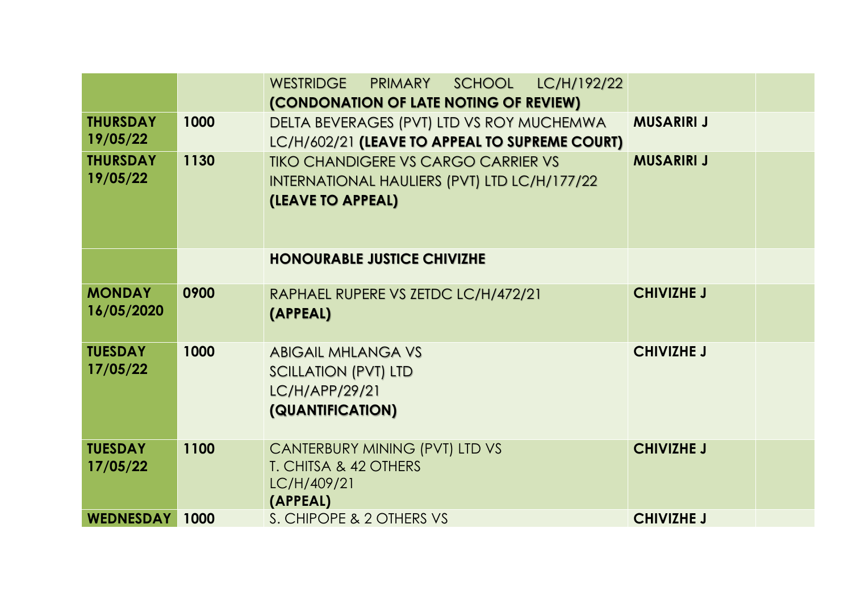|                             |      | WESTRIDGE PRIMARY<br>SCHOOL LC/H/192/22                                                                         |                   |  |
|-----------------------------|------|-----------------------------------------------------------------------------------------------------------------|-------------------|--|
|                             |      | (CONDONATION OF LATE NOTING OF REVIEW)                                                                          |                   |  |
| <b>THURSDAY</b>             | 1000 | DELTA BEVERAGES (PVT) LTD VS ROY MUCHEMWA                                                                       | <b>MUSARIRI J</b> |  |
| 19/05/22                    |      | LC/H/602/21 (LEAVE TO APPEAL TO SUPREME COURT)                                                                  |                   |  |
| <b>THURSDAY</b><br>19/05/22 | 1130 | <b>TIKO CHANDIGERE VS CARGO CARRIER VS</b><br>INTERNATIONAL HAULIERS (PVT) LTD LC/H/177/22<br>(LEAVE TO APPEAL) | <b>MUSARIRI J</b> |  |
|                             |      |                                                                                                                 |                   |  |
|                             |      | <b>HONOURABLE JUSTICE CHIVIZHE</b>                                                                              |                   |  |
| <b>MONDAY</b><br>16/05/2020 | 0900 | RAPHAEL RUPERE VS ZETDC LC/H/472/21<br>(APPEAL)                                                                 | <b>CHIVIZHE J</b> |  |
| <b>TUESDAY</b><br>17/05/22  | 1000 | <b>ABIGAIL MHLANGA VS</b><br><b>SCILLATION (PVT) LTD</b><br>LC/H/APP/29/21<br>(QUANTIFICATION)                  | <b>CHIVIZHE J</b> |  |
| <b>TUESDAY</b><br>17/05/22  | 1100 | CANTERBURY MINING (PVT) LTD VS<br>T. CHITSA & 42 OTHERS<br>LC/H/409/21<br>(APPEAL)                              | <b>CHIVIZHE J</b> |  |
| <b>WEDNESDAY</b>            | 1000 | S. CHIPOPE & 2 OTHERS VS                                                                                        | <b>CHIVIZHE J</b> |  |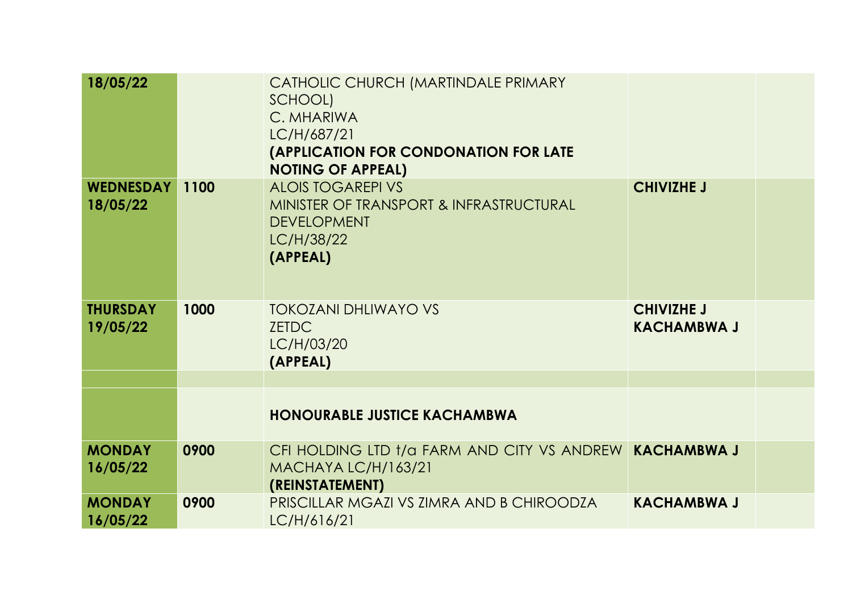| 18/05/22                     |      | CATHOLIC CHURCH (MARTINDALE PRIMARY<br>SCHOOL)<br>C. MHARIWA<br>LC/H/687/21<br><b>(APPLICATION FOR CONDONATION FOR LATE</b><br><b>NOTING OF APPEAL)</b> |                                         |  |
|------------------------------|------|---------------------------------------------------------------------------------------------------------------------------------------------------------|-----------------------------------------|--|
| <b>WEDNESDAY</b><br>18/05/22 | 1100 | <b>ALOIS TOGAREPI VS</b><br>MINISTER OF TRANSPORT & INFRASTRUCTURAL<br><b>DEVELOPMENT</b><br>LC/H/38/22<br>(APPEAL)                                     | <b>CHIVIZHE J</b>                       |  |
| <b>THURSDAY</b><br>19/05/22  | 1000 | <b>TOKOZANI DHLIWAYO VS</b><br><b>ZETDC</b><br>LC/H/03/20<br>(APPEAL)                                                                                   | <b>CHIVIZHE J</b><br><b>KACHAMBWA J</b> |  |
|                              |      |                                                                                                                                                         |                                         |  |
|                              |      | <b>HONOURABLE JUSTICE KACHAMBWA</b>                                                                                                                     |                                         |  |
| <b>MONDAY</b><br>16/05/22    | 0900 | CFI HOLDING LTD t/a FARM AND CITY VS ANDREW KACHAMBWA J<br>MACHAYA LC/H/163/21<br>(REINSTATEMENT)                                                       |                                         |  |
| <b>MONDAY</b><br>16/05/22    | 0900 | PRISCILLAR MGAZI VS ZIMRA AND B CHIROODZA<br>LC/H/616/21                                                                                                | <b>KACHAMBWA J</b>                      |  |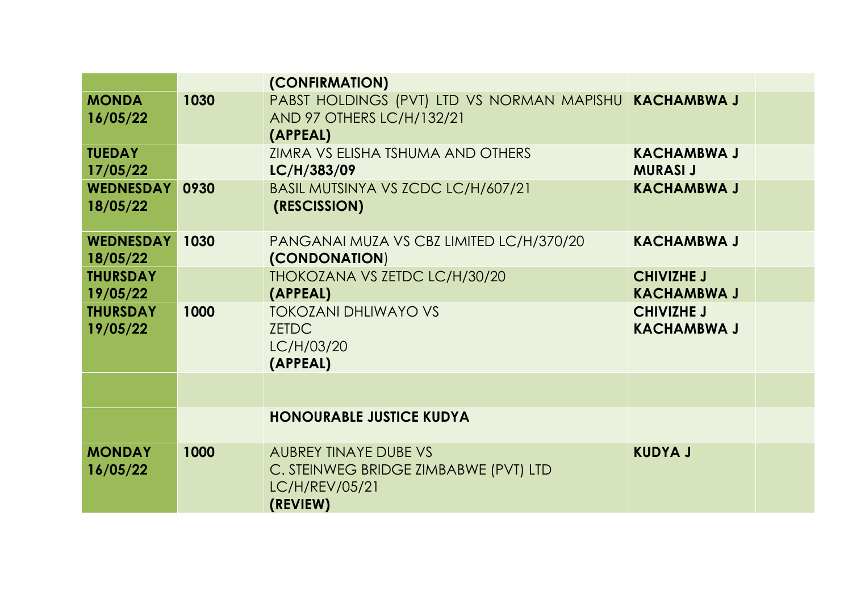|                              |      | (CONFIRMATION)                                                                                      |                                         |  |
|------------------------------|------|-----------------------------------------------------------------------------------------------------|-----------------------------------------|--|
| <b>MONDA</b><br>16/05/22     | 1030 | PABST HOLDINGS (PVT) LTD VS NORMAN MAPISHU KACHAMBWA J<br>AND 97 OTHERS LC/H/132/21<br>(APPEAL)     |                                         |  |
| <b>TUEDAY</b><br>17/05/22    |      | ZIMRA VS ELISHA TSHUMA AND OTHERS<br>LC/H/383/09                                                    | <b>KACHAMBWA J</b><br><b>MURASI J</b>   |  |
| <b>WEDNESDAY</b><br>18/05/22 | 0930 | BASIL MUTSINYA VS ZCDC LC/H/607/21<br>(RESCISSION)                                                  | <b>KACHAMBWA J</b>                      |  |
| <b>WEDNESDAY</b><br>18/05/22 | 1030 | PANGANAI MUZA VS CBZ LIMITED LC/H/370/20<br>(CONDONATION)                                           | <b>KACHAMBWA J</b>                      |  |
| <b>THURSDAY</b><br>19/05/22  |      | THOKOZANA VS ZETDC LC/H/30/20<br>(APPEAL)                                                           | <b>CHIVIZHE J</b><br><b>KACHAMBWA J</b> |  |
| <b>THURSDAY</b><br>19/05/22  | 1000 | <b>TOKOZANI DHLIWAYO VS</b><br><b>ZETDC</b><br>LC/H/03/20<br>(APPEAL)                               | <b>CHIVIZHE J</b><br><b>KACHAMBWA J</b> |  |
|                              |      |                                                                                                     |                                         |  |
|                              |      | <b>HONOURABLE JUSTICE KUDYA</b>                                                                     |                                         |  |
| <b>MONDAY</b><br>16/05/22    | 1000 | <b>AUBREY TINAYE DUBE VS</b><br>C. STEINWEG BRIDGE ZIMBABWE (PVT) LTD<br>LC/H/REV/05/21<br>(REVIEW) | <b>KUDYA J</b>                          |  |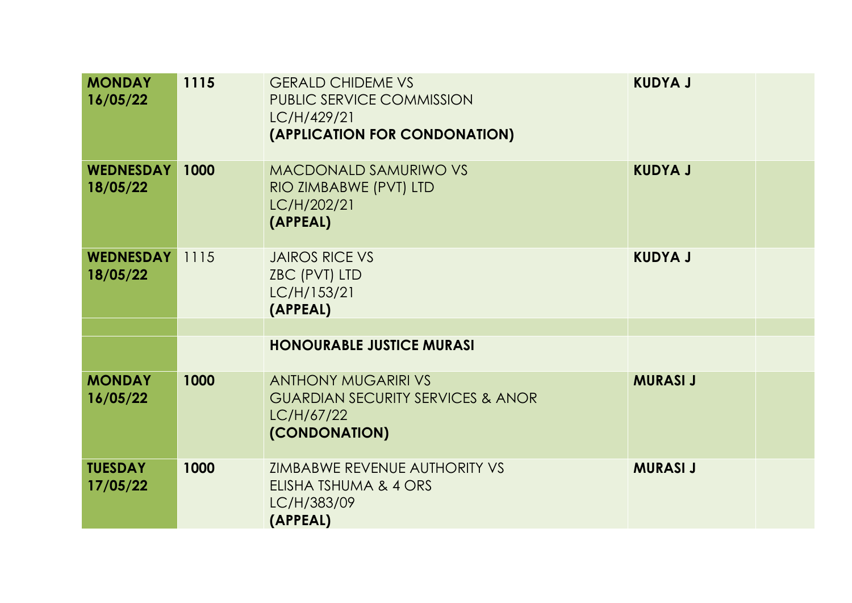| <b>MONDAY</b><br>16/05/22    | 1115 | <b>GERALD CHIDEME VS</b><br>PUBLIC SERVICE COMMISSION<br>LC/H/429/21<br>(APPLICATION FOR CONDONATION)     | <b>KUDYA J</b>  |  |
|------------------------------|------|-----------------------------------------------------------------------------------------------------------|-----------------|--|
| <b>WEDNESDAY</b><br>18/05/22 | 1000 | <b>MACDONALD SAMURIWO VS</b><br>RIO ZIMBABWE (PVT) LTD<br>LC/H/202/21<br>(APPEAL)                         | <b>KUDYA J</b>  |  |
| <b>WEDNESDAY</b><br>18/05/22 | 1115 | <b>JAIROS RICE VS</b><br>ZBC (PVT) LTD<br>LC/H/153/21<br>(APPEAL)                                         | <b>KUDYA J</b>  |  |
|                              |      | <b>HONOURABLE JUSTICE MURASI</b>                                                                          |                 |  |
|                              |      |                                                                                                           |                 |  |
| <b>MONDAY</b><br>16/05/22    | 1000 | <b>ANTHONY MUGARIRI VS</b><br><b>GUARDIAN SECURITY SERVICES &amp; ANOR</b><br>LC/H/67/22<br>(CONDONATION) | <b>MURASI J</b> |  |
| <b>TUESDAY</b><br>17/05/22   | 1000 | <b>ZIMBABWE REVENUE AUTHORITY VS</b><br>ELISHA TSHUMA & 4 ORS<br>LC/H/383/09<br>(APPEAL)                  | <b>MURASI J</b> |  |